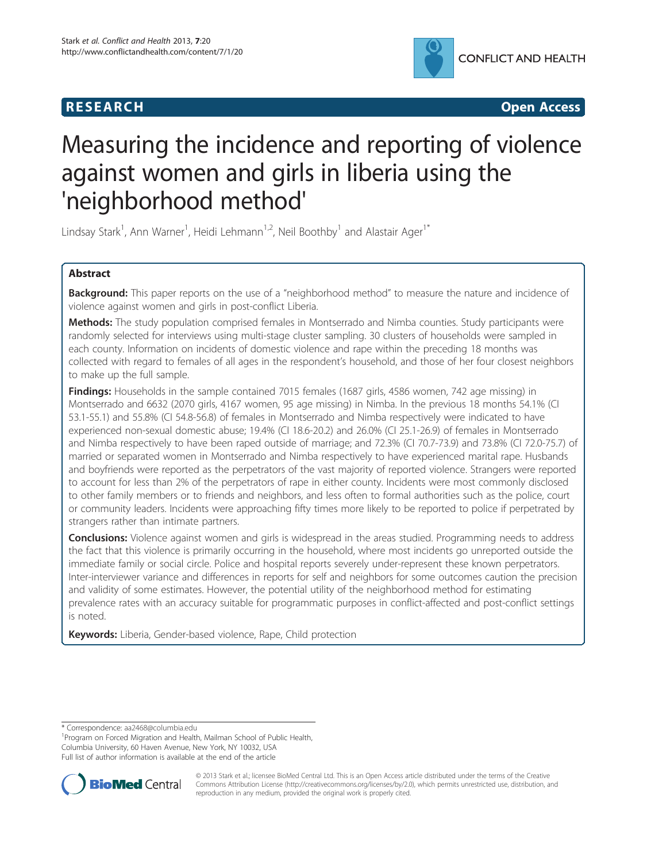



# Measuring the incidence and reporting of violence against women and girls in liberia using the 'neighborhood method'

Lindsay Stark<sup>1</sup>, Ann Warner<sup>1</sup>, Heidi Lehmann<sup>1,2</sup>, Neil Boothby<sup>1</sup> and Alastair Ager<sup>1\*</sup>

# Abstract

Background: This paper reports on the use of a "neighborhood method" to measure the nature and incidence of violence against women and girls in post-conflict Liberia.

Methods: The study population comprised females in Montserrado and Nimba counties. Study participants were randomly selected for interviews using multi-stage cluster sampling. 30 clusters of households were sampled in each county. Information on incidents of domestic violence and rape within the preceding 18 months was collected with regard to females of all ages in the respondent's household, and those of her four closest neighbors to make up the full sample.

Findings: Households in the sample contained 7015 females (1687 girls, 4586 women, 742 age missing) in Montserrado and 6632 (2070 girls, 4167 women, 95 age missing) in Nimba. In the previous 18 months 54.1% (CI 53.1-55.1) and 55.8% (CI 54.8-56.8) of females in Montserrado and Nimba respectively were indicated to have experienced non-sexual domestic abuse; 19.4% (CI 18.6-20.2) and 26.0% (CI 25.1-26.9) of females in Montserrado and Nimba respectively to have been raped outside of marriage; and 72.3% (CI 70.7-73.9) and 73.8% (CI 72.0-75.7) of married or separated women in Montserrado and Nimba respectively to have experienced marital rape. Husbands and boyfriends were reported as the perpetrators of the vast majority of reported violence. Strangers were reported to account for less than 2% of the perpetrators of rape in either county. Incidents were most commonly disclosed to other family members or to friends and neighbors, and less often to formal authorities such as the police, court or community leaders. Incidents were approaching fifty times more likely to be reported to police if perpetrated by strangers rather than intimate partners.

Conclusions: Violence against women and girls is widespread in the areas studied. Programming needs to address the fact that this violence is primarily occurring in the household, where most incidents go unreported outside the immediate family or social circle. Police and hospital reports severely under-represent these known perpetrators. Inter-interviewer variance and differences in reports for self and neighbors for some outcomes caution the precision and validity of some estimates. However, the potential utility of the neighborhood method for estimating prevalence rates with an accuracy suitable for programmatic purposes in conflict-affected and post-conflict settings is noted.

Keywords: Liberia, Gender-based violence, Rape, Child protection

\* Correspondence: [aa2468@columbia.edu](mailto:aa2468@columbia.edu) <sup>1</sup>

<sup>1</sup> Program on Forced Migration and Health, Mailman School of Public Health, Columbia University, 60 Haven Avenue, New York, NY 10032, USA Full list of author information is available at the end of the article



© 2013 Stark et al.; licensee BioMed Central Ltd. This is an Open Access article distributed under the terms of the Creative Commons Attribution License [\(http://creativecommons.org/licenses/by/2.0\)](http://creativecommons.org/licenses/by/2.0), which permits unrestricted use, distribution, and reproduction in any medium, provided the original work is properly cited.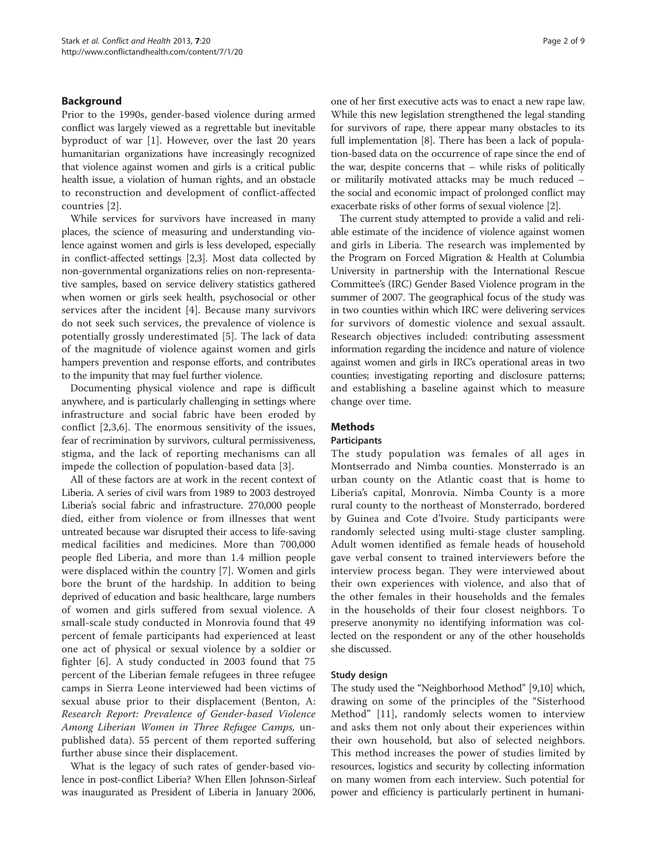# Background

Prior to the 1990s, gender-based violence during armed conflict was largely viewed as a regrettable but inevitable byproduct of war [[1\]](#page-8-0). However, over the last 20 years humanitarian organizations have increasingly recognized that violence against women and girls is a critical public health issue, a violation of human rights, and an obstacle to reconstruction and development of conflict-affected countries [[2\]](#page-8-0).

While services for survivors have increased in many places, the science of measuring and understanding violence against women and girls is less developed, especially in conflict-affected settings [\[2,3](#page-8-0)]. Most data collected by non-governmental organizations relies on non-representative samples, based on service delivery statistics gathered when women or girls seek health, psychosocial or other services after the incident [\[4](#page-8-0)]. Because many survivors do not seek such services, the prevalence of violence is potentially grossly underestimated [[5\]](#page-8-0). The lack of data of the magnitude of violence against women and girls hampers prevention and response efforts, and contributes to the impunity that may fuel further violence.

Documenting physical violence and rape is difficult anywhere, and is particularly challenging in settings where infrastructure and social fabric have been eroded by conflict [[2,3](#page-8-0),[6\]](#page-8-0). The enormous sensitivity of the issues, fear of recrimination by survivors, cultural permissiveness, stigma, and the lack of reporting mechanisms can all impede the collection of population-based data [\[3](#page-8-0)].

All of these factors are at work in the recent context of Liberia. A series of civil wars from 1989 to 2003 destroyed Liberia's social fabric and infrastructure. 270,000 people died, either from violence or from illnesses that went untreated because war disrupted their access to life-saving medical facilities and medicines. More than 700,000 people fled Liberia, and more than 1.4 million people were displaced within the country [[7\]](#page-8-0). Women and girls bore the brunt of the hardship. In addition to being deprived of education and basic healthcare, large numbers of women and girls suffered from sexual violence. A small-scale study conducted in Monrovia found that 49 percent of female participants had experienced at least one act of physical or sexual violence by a soldier or fighter [[6\]](#page-8-0). A study conducted in 2003 found that 75 percent of the Liberian female refugees in three refugee camps in Sierra Leone interviewed had been victims of sexual abuse prior to their displacement (Benton, A: Research Report: Prevalence of Gender-based Violence Among Liberian Women in Three Refugee Camps, unpublished data). 55 percent of them reported suffering further abuse since their displacement.

What is the legacy of such rates of gender-based violence in post-conflict Liberia? When Ellen Johnson-Sirleaf was inaugurated as President of Liberia in January 2006,

one of her first executive acts was to enact a new rape law. While this new legislation strengthened the legal standing for survivors of rape, there appear many obstacles to its full implementation [[8](#page-8-0)]. There has been a lack of population-based data on the occurrence of rape since the end of the war, despite concerns that – while risks of politically or militarily motivated attacks may be much reduced – the social and economic impact of prolonged conflict may exacerbate risks of other forms of sexual violence [\[2](#page-8-0)].

The current study attempted to provide a valid and reliable estimate of the incidence of violence against women and girls in Liberia. The research was implemented by the Program on Forced Migration & Health at Columbia University in partnership with the International Rescue Committee's (IRC) Gender Based Violence program in the summer of 2007. The geographical focus of the study was in two counties within which IRC were delivering services for survivors of domestic violence and sexual assault. Research objectives included: contributing assessment information regarding the incidence and nature of violence against women and girls in IRC's operational areas in two counties; investigating reporting and disclosure patterns; and establishing a baseline against which to measure change over time.

# Methods

# **Participants**

The study population was females of all ages in Montserrado and Nimba counties. Monsterrado is an urban county on the Atlantic coast that is home to Liberia's capital, Monrovia. Nimba County is a more rural county to the northeast of Monsterrado, bordered by Guinea and Cote d'Ivoire. Study participants were randomly selected using multi-stage cluster sampling. Adult women identified as female heads of household gave verbal consent to trained interviewers before the interview process began. They were interviewed about their own experiences with violence, and also that of the other females in their households and the females in the households of their four closest neighbors. To preserve anonymity no identifying information was collected on the respondent or any of the other households she discussed.

# Study design

The study used the "Neighborhood Method" [\[9,10](#page-8-0)] which, drawing on some of the principles of the "Sisterhood Method" [\[11](#page-8-0)], randomly selects women to interview and asks them not only about their experiences within their own household, but also of selected neighbors. This method increases the power of studies limited by resources, logistics and security by collecting information on many women from each interview. Such potential for power and efficiency is particularly pertinent in humani-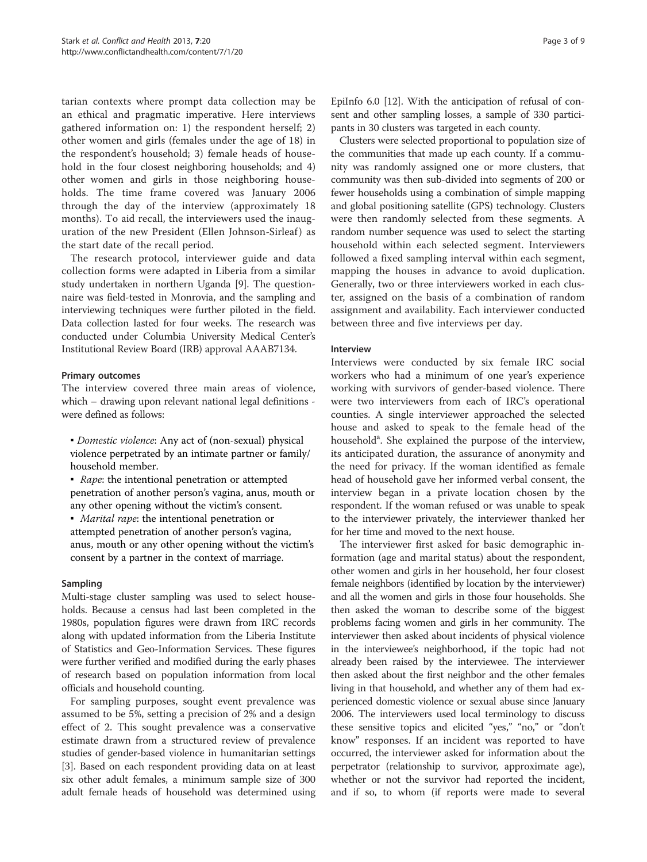tarian contexts where prompt data collection may be an ethical and pragmatic imperative. Here interviews gathered information on: 1) the respondent herself; 2) other women and girls (females under the age of 18) in the respondent's household; 3) female heads of household in the four closest neighboring households; and 4) other women and girls in those neighboring households. The time frame covered was January 2006 through the day of the interview (approximately 18 months). To aid recall, the interviewers used the inauguration of the new President (Ellen Johnson-Sirleaf) as the start date of the recall period.

The research protocol, interviewer guide and data collection forms were adapted in Liberia from a similar study undertaken in northern Uganda [\[9](#page-8-0)]. The questionnaire was field-tested in Monrovia, and the sampling and interviewing techniques were further piloted in the field. Data collection lasted for four weeks. The research was conducted under Columbia University Medical Center's Institutional Review Board (IRB) approval AAAB7134.

#### Primary outcomes

The interview covered three main areas of violence, which – drawing upon relevant national legal definitions were defined as follows:

▪ Domestic violence: Any act of (non-sexual) physical violence perpetrated by an intimate partner or family/ household member.

• Rape: the intentional penetration or attempted penetration of another person's vagina, anus, mouth or any other opening without the victim's consent.

▪ Marital rape: the intentional penetration or attempted penetration of another person's vagina, anus, mouth or any other opening without the victim's consent by a partner in the context of marriage.

# Sampling

Multi-stage cluster sampling was used to select households. Because a census had last been completed in the 1980s, population figures were drawn from IRC records along with updated information from the Liberia Institute of Statistics and Geo-Information Services. These figures were further verified and modified during the early phases of research based on population information from local officials and household counting.

For sampling purposes, sought event prevalence was assumed to be 5%, setting a precision of 2% and a design effect of 2. This sought prevalence was a conservative estimate drawn from a structured review of prevalence studies of gender-based violence in humanitarian settings [[3\]](#page-8-0). Based on each respondent providing data on at least six other adult females, a minimum sample size of 300 adult female heads of household was determined using EpiInfo 6.0 [\[12](#page-8-0)]. With the anticipation of refusal of consent and other sampling losses, a sample of 330 participants in 30 clusters was targeted in each county.

Clusters were selected proportional to population size of the communities that made up each county. If a community was randomly assigned one or more clusters, that community was then sub-divided into segments of 200 or fewer households using a combination of simple mapping and global positioning satellite (GPS) technology. Clusters were then randomly selected from these segments. A random number sequence was used to select the starting household within each selected segment. Interviewers followed a fixed sampling interval within each segment, mapping the houses in advance to avoid duplication. Generally, two or three interviewers worked in each cluster, assigned on the basis of a combination of random assignment and availability. Each interviewer conducted between three and five interviews per day.

# **Interview**

Interviews were conducted by six female IRC social workers who had a minimum of one year's experience working with survivors of gender-based violence. There were two interviewers from each of IRC's operational counties. A single interviewer approached the selected house and asked to speak to the female head of the household<sup>a</sup>. She explained the purpose of the interview, its anticipated duration, the assurance of anonymity and the need for privacy. If the woman identified as female head of household gave her informed verbal consent, the interview began in a private location chosen by the respondent. If the woman refused or was unable to speak to the interviewer privately, the interviewer thanked her for her time and moved to the next house.

The interviewer first asked for basic demographic information (age and marital status) about the respondent, other women and girls in her household, her four closest female neighbors (identified by location by the interviewer) and all the women and girls in those four households. She then asked the woman to describe some of the biggest problems facing women and girls in her community. The interviewer then asked about incidents of physical violence in the interviewee's neighborhood, if the topic had not already been raised by the interviewee. The interviewer then asked about the first neighbor and the other females living in that household, and whether any of them had experienced domestic violence or sexual abuse since January 2006. The interviewers used local terminology to discuss these sensitive topics and elicited "yes," "no," or "don't know" responses. If an incident was reported to have occurred, the interviewer asked for information about the perpetrator (relationship to survivor, approximate age), whether or not the survivor had reported the incident, and if so, to whom (if reports were made to several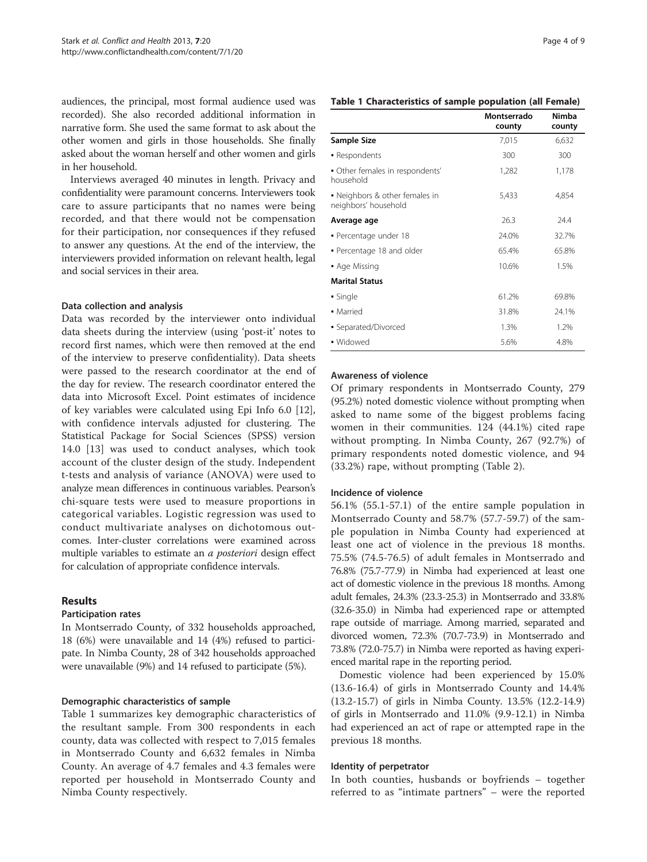audiences, the principal, most formal audience used was recorded). She also recorded additional information in narrative form. She used the same format to ask about the other women and girls in those households. She finally asked about the woman herself and other women and girls in her household.

Interviews averaged 40 minutes in length. Privacy and confidentiality were paramount concerns. Interviewers took care to assure participants that no names were being recorded, and that there would not be compensation for their participation, nor consequences if they refused to answer any questions. At the end of the interview, the interviewers provided information on relevant health, legal and social services in their area.

#### Data collection and analysis

Data was recorded by the interviewer onto individual data sheets during the interview (using 'post-it' notes to record first names, which were then removed at the end of the interview to preserve confidentiality). Data sheets were passed to the research coordinator at the end of the day for review. The research coordinator entered the data into Microsoft Excel. Point estimates of incidence of key variables were calculated using Epi Info 6.0 [\[12](#page-8-0)], with confidence intervals adjusted for clustering. The Statistical Package for Social Sciences (SPSS) version 14.0 [[13\]](#page-8-0) was used to conduct analyses, which took account of the cluster design of the study. Independent t-tests and analysis of variance (ANOVA) were used to analyze mean differences in continuous variables. Pearson's chi-square tests were used to measure proportions in categorical variables. Logistic regression was used to conduct multivariate analyses on dichotomous outcomes. Inter-cluster correlations were examined across multiple variables to estimate an a posteriori design effect for calculation of appropriate confidence intervals.

# Results

#### Participation rates

In Montserrado County, of 332 households approached, 18 (6%) were unavailable and 14 (4%) refused to participate. In Nimba County, 28 of 342 households approached were unavailable (9%) and 14 refused to participate (5%).

# Demographic characteristics of sample

Table 1 summarizes key demographic characteristics of the resultant sample. From 300 respondents in each county, data was collected with respect to 7,015 females in Montserrado County and 6,632 females in Nimba County. An average of 4.7 females and 4.3 females were reported per household in Montserrado County and Nimba County respectively.

#### Table 1 Characteristics of sample population (all Female)

|                                                        | Montserrado<br>county | Nimba<br>county |
|--------------------------------------------------------|-----------------------|-----------------|
| Sample Size                                            | 7,015                 | 6,632           |
| • Respondents                                          | 300                   | 300             |
| • Other females in respondents'<br>household           | 1,282                 | 1,178           |
| • Neighbors & other females in<br>neighbors' household | 5,433                 | 4,854           |
| Average age                                            | 26.3                  | 24.4            |
| · Percentage under 18                                  | 24.0%                 | 32.7%           |
| • Percentage 18 and older                              | 65.4%                 | 65.8%           |
| • Age Missing                                          | 10.6%                 | 1.5%            |
| <b>Marital Status</b>                                  |                       |                 |
| • Single                                               | 61.2%                 | 69.8%           |
| • Married                                              | 31.8%                 | 24.1%           |
| • Separated/Divorced                                   | 1.3%                  | 1.2%            |
| • Widowed                                              | 5.6%                  | 4.8%            |

# Awareness of violence

Of primary respondents in Montserrado County, 279 (95.2%) noted domestic violence without prompting when asked to name some of the biggest problems facing women in their communities. 124 (44.1%) cited rape without prompting. In Nimba County, 267 (92.7%) of primary respondents noted domestic violence, and 94 (33.2%) rape, without prompting (Table [2\)](#page-4-0).

#### Incidence of violence

56.1% (55.1-57.1) of the entire sample population in Montserrado County and 58.7% (57.7-59.7) of the sample population in Nimba County had experienced at least one act of violence in the previous 18 months. 75.5% (74.5-76.5) of adult females in Montserrado and 76.8% (75.7-77.9) in Nimba had experienced at least one act of domestic violence in the previous 18 months. Among adult females, 24.3% (23.3-25.3) in Montserrado and 33.8% (32.6-35.0) in Nimba had experienced rape or attempted rape outside of marriage. Among married, separated and divorced women, 72.3% (70.7-73.9) in Montserrado and 73.8% (72.0-75.7) in Nimba were reported as having experienced marital rape in the reporting period.

Domestic violence had been experienced by 15.0% (13.6-16.4) of girls in Montserrado County and 14.4% (13.2-15.7) of girls in Nimba County. 13.5% (12.2-14.9) of girls in Montserrado and 11.0% (9.9-12.1) in Nimba had experienced an act of rape or attempted rape in the previous 18 months.

#### Identity of perpetrator

In both counties, husbands or boyfriends – together referred to as "intimate partners" – were the reported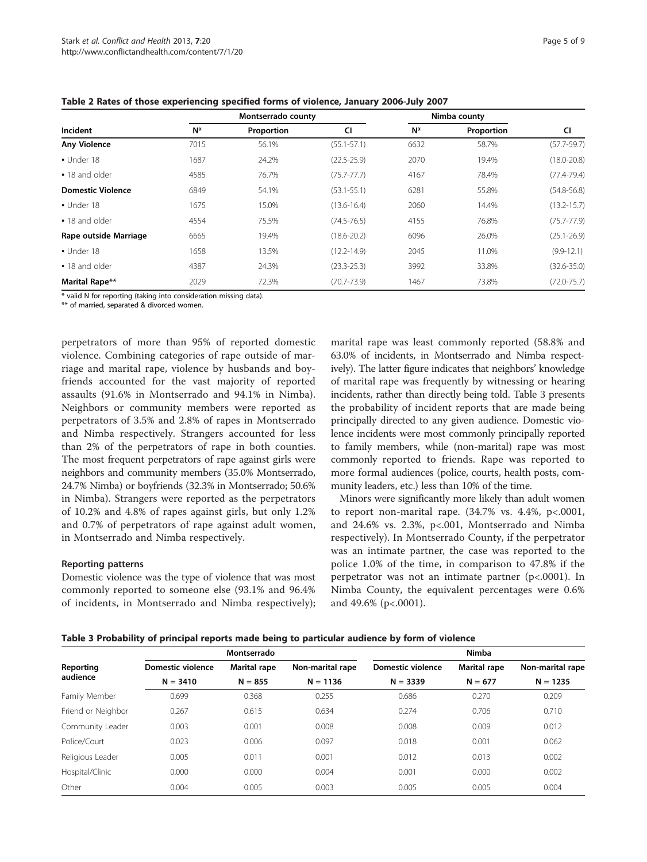|                          |      | Montserrado county |                 |       | Nimba county | CI              |
|--------------------------|------|--------------------|-----------------|-------|--------------|-----------------|
| Incident                 | N*   | Proportion         | <b>CI</b>       | $N^*$ | Proportion   |                 |
| <b>Any Violence</b>      | 7015 | 56.1%              | $(55.1 - 57.1)$ | 6632  | 58.7%        | $(57.7 - 59.7)$ |
| · Under 18               | 1687 | 24.2%              | $(22.5 - 25.9)$ | 2070  | 19.4%        | $(18.0 - 20.8)$ |
| • 18 and older           | 4585 | 76.7%              | $(75.7 - 77.7)$ | 4167  | 78.4%        | $(77.4 - 79.4)$ |
| <b>Domestic Violence</b> | 6849 | 54.1%              | $(53.1 - 55.1)$ | 6281  | 55.8%        | $(54.8 - 56.8)$ |
| $-$ Under 18             | 1675 | 15.0%              | $(13.6 - 16.4)$ | 2060  | 14.4%        | $(13.2 - 15.7)$ |
| • 18 and older           | 4554 | 75.5%              | $(74.5 - 76.5)$ | 4155  | 76.8%        | $(75.7 - 77.9)$ |
| Rape outside Marriage    | 6665 | 19.4%              | $(18.6 - 20.2)$ | 6096  | 26.0%        | $(25.1 - 26.9)$ |
| • Under 18               | 1658 | 13.5%              | $(12.2 - 14.9)$ | 2045  | 11.0%        | $(9.9 - 12.1)$  |
| • 18 and older           | 4387 | 24.3%              | $(23.3 - 25.3)$ | 3992  | 33.8%        | $(32.6 - 35.0)$ |
| Marital Rape**           | 2029 | 72.3%              | (70.7-73.9)     | 1467  | 73.8%        | $(72.0 - 75.7)$ |

<span id="page-4-0"></span>Table 2 Rates of those experiencing specified forms of violence, January 2006-July 2007

\* valid N for reporting (taking into consideration missing data).

\*\* of married, separated & divorced women.

perpetrators of more than 95% of reported domestic violence. Combining categories of rape outside of marriage and marital rape, violence by husbands and boyfriends accounted for the vast majority of reported assaults (91.6% in Montserrado and 94.1% in Nimba). Neighbors or community members were reported as perpetrators of 3.5% and 2.8% of rapes in Montserrado and Nimba respectively. Strangers accounted for less than 2% of the perpetrators of rape in both counties. The most frequent perpetrators of rape against girls were neighbors and community members (35.0% Montserrado, 24.7% Nimba) or boyfriends (32.3% in Montserrado; 50.6% in Nimba). Strangers were reported as the perpetrators of 10.2% and 4.8% of rapes against girls, but only 1.2% and 0.7% of perpetrators of rape against adult women, in Montserrado and Nimba respectively.

#### Reporting patterns

Domestic violence was the type of violence that was most commonly reported to someone else (93.1% and 96.4% of incidents, in Montserrado and Nimba respectively); marital rape was least commonly reported (58.8% and 63.0% of incidents, in Montserrado and Nimba respectively). The latter figure indicates that neighbors' knowledge of marital rape was frequently by witnessing or hearing incidents, rather than directly being told. Table 3 presents the probability of incident reports that are made being principally directed to any given audience. Domestic violence incidents were most commonly principally reported to family members, while (non-marital) rape was most commonly reported to friends. Rape was reported to more formal audiences (police, courts, health posts, community leaders, etc.) less than 10% of the time.

Minors were significantly more likely than adult women to report non-marital rape. (34.7% vs. 4.4%, p<.0001, and 24.6% vs. 2.3%, p<.001, Montserrado and Nimba respectively). In Montserrado County, if the perpetrator was an intimate partner, the case was reported to the police 1.0% of the time, in comparison to 47.8% if the perpetrator was not an intimate partner (p<.0001). In Nimba County, the equivalent percentages were 0.6% and 49.6% (p<.0001).

Table 3 Probability of principal reports made being to particular audience by form of violence

|                       |                   | Montserrado  |                  | <b>Nimba</b>      |                     |                  |  |
|-----------------------|-------------------|--------------|------------------|-------------------|---------------------|------------------|--|
| Reporting<br>audience | Domestic violence | Marital rape | Non-marital rape | Domestic violence | <b>Marital rape</b> | Non-marital rape |  |
|                       | $N = 3410$        | $N = 855$    | $N = 1136$       | $N = 3339$        | $N = 677$           | $N = 1235$       |  |
| Family Member         | 0.699             | 0.368        | 0.255            | 0.686             | 0.270               | 0.209            |  |
| Friend or Neighbor    | 0.267             | 0.615        | 0.634            | 0.274             | 0.706               | 0.710            |  |
| Community Leader      | 0.003             | 0.001        | 0.008            | 0.008             | 0.009               | 0.012            |  |
| Police/Court          | 0.023             | 0.006        | 0.097            | 0.018             | 0.001               | 0.062            |  |
| Religious Leader      | 0.005             | 0.011        | 0.001            | 0.012             | 0.013               | 0.002            |  |
| Hospital/Clinic       | 0.000             | 0.000        | 0.004            | 0.001             | 0.000               | 0.002            |  |
| Other                 | 0.004             | 0.005        | 0.003            | 0.005             | 0.005               | 0.004            |  |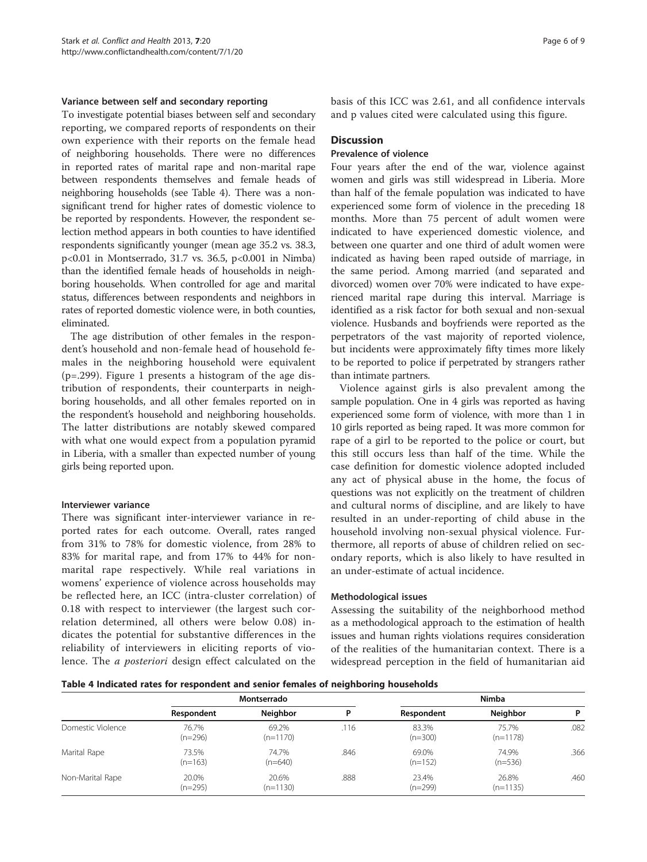#### Variance between self and secondary reporting

To investigate potential biases between self and secondary reporting, we compared reports of respondents on their own experience with their reports on the female head of neighboring households. There were no differences in reported rates of marital rape and non-marital rape between respondents themselves and female heads of neighboring households (see Table 4). There was a nonsignificant trend for higher rates of domestic violence to be reported by respondents. However, the respondent selection method appears in both counties to have identified respondents significantly younger (mean age 35.2 vs. 38.3, p<0.01 in Montserrado, 31.7 vs. 36.5, p<0.001 in Nimba) than the identified female heads of households in neighboring households. When controlled for age and marital status, differences between respondents and neighbors in rates of reported domestic violence were, in both counties, eliminated.

The age distribution of other females in the respondent's household and non-female head of household females in the neighboring household were equivalent (p=.299). Figure [1](#page-6-0) presents a histogram of the age distribution of respondents, their counterparts in neighboring households, and all other females reported on in the respondent's household and neighboring households. The latter distributions are notably skewed compared with what one would expect from a population pyramid in Liberia, with a smaller than expected number of young girls being reported upon.

#### Interviewer variance

There was significant inter-interviewer variance in reported rates for each outcome. Overall, rates ranged from 31% to 78% for domestic violence, from 28% to 83% for marital rape, and from 17% to 44% for nonmarital rape respectively. While real variations in womens' experience of violence across households may be reflected here, an ICC (intra-cluster correlation) of 0.18 with respect to interviewer (the largest such correlation determined, all others were below 0.08) indicates the potential for substantive differences in the reliability of interviewers in eliciting reports of violence. The a posteriori design effect calculated on the

basis of this ICC was 2.61, and all confidence intervals and p values cited were calculated using this figure.

# **Discussion**

# Prevalence of violence

Four years after the end of the war, violence against women and girls was still widespread in Liberia. More than half of the female population was indicated to have experienced some form of violence in the preceding 18 months. More than 75 percent of adult women were indicated to have experienced domestic violence, and between one quarter and one third of adult women were indicated as having been raped outside of marriage, in the same period. Among married (and separated and divorced) women over 70% were indicated to have experienced marital rape during this interval. Marriage is identified as a risk factor for both sexual and non-sexual violence. Husbands and boyfriends were reported as the perpetrators of the vast majority of reported violence, but incidents were approximately fifty times more likely to be reported to police if perpetrated by strangers rather than intimate partners.

Violence against girls is also prevalent among the sample population. One in 4 girls was reported as having experienced some form of violence, with more than 1 in 10 girls reported as being raped. It was more common for rape of a girl to be reported to the police or court, but this still occurs less than half of the time. While the case definition for domestic violence adopted included any act of physical abuse in the home, the focus of questions was not explicitly on the treatment of children and cultural norms of discipline, and are likely to have resulted in an under-reporting of child abuse in the household involving non-sexual physical violence. Furthermore, all reports of abuse of children relied on secondary reports, which is also likely to have resulted in an under-estimate of actual incidence.

#### Methodological issues

Assessing the suitability of the neighborhood method as a methodological approach to the estimation of health issues and human rights violations requires consideration of the realities of the humanitarian context. There is a widespread perception in the field of humanitarian aid

|  | Table 4 Indicated rates for respondent and senior females of neighboring households |
|--|-------------------------------------------------------------------------------------|
|--|-------------------------------------------------------------------------------------|

|                   | Montserrado        |                     |      | Nimba              |                     |      |
|-------------------|--------------------|---------------------|------|--------------------|---------------------|------|
|                   | Respondent         | Neighbor            | D    | Respondent         | Neighbor            | P    |
| Domestic Violence | 76.7%<br>$(n=296)$ | 69.2%<br>$(n=1170)$ | .116 | 83.3%<br>$(n=300)$ | 75.7%<br>$(n=1178)$ | .082 |
| Marital Rape      | 73.5%<br>$(n=163)$ | 74.7%<br>$(n=640)$  | .846 | 69.0%<br>$(n=152)$ | 74.9%<br>$(n=536)$  | .366 |
| Non-Marital Rape  | 20.0%<br>$(n=295)$ | 20.6%<br>$(n=1130)$ | .888 | 23.4%<br>$(n=299)$ | 26.8%<br>$(n=1135)$ | .460 |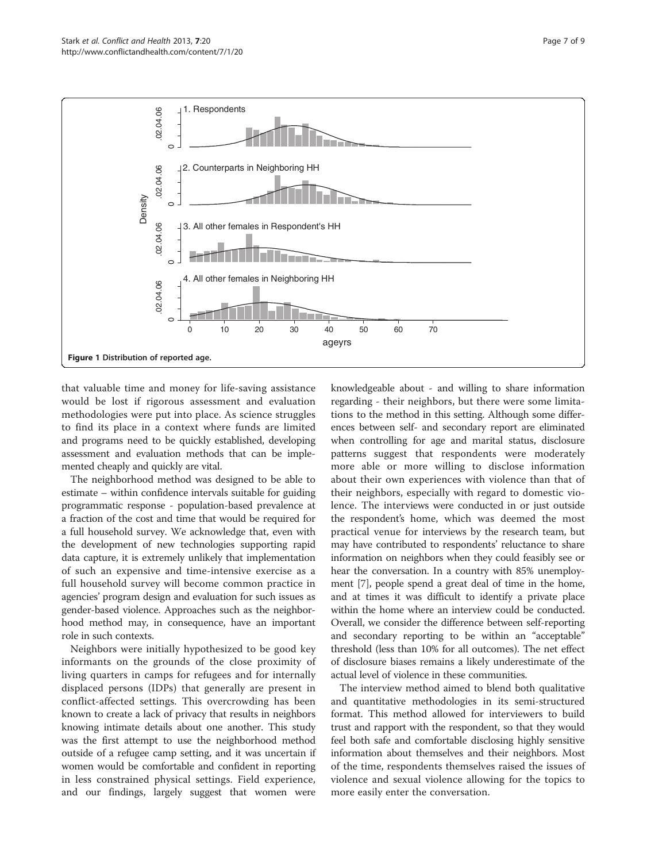<span id="page-6-0"></span>

that valuable time and money for life-saving assistance would be lost if rigorous assessment and evaluation methodologies were put into place. As science struggles to find its place in a context where funds are limited and programs need to be quickly established, developing assessment and evaluation methods that can be implemented cheaply and quickly are vital.

The neighborhood method was designed to be able to estimate – within confidence intervals suitable for guiding programmatic response - population-based prevalence at a fraction of the cost and time that would be required for a full household survey. We acknowledge that, even with the development of new technologies supporting rapid data capture, it is extremely unlikely that implementation of such an expensive and time-intensive exercise as a full household survey will become common practice in agencies' program design and evaluation for such issues as gender-based violence. Approaches such as the neighborhood method may, in consequence, have an important role in such contexts.

Neighbors were initially hypothesized to be good key informants on the grounds of the close proximity of living quarters in camps for refugees and for internally displaced persons (IDPs) that generally are present in conflict-affected settings. This overcrowding has been known to create a lack of privacy that results in neighbors knowing intimate details about one another. This study was the first attempt to use the neighborhood method outside of a refugee camp setting, and it was uncertain if women would be comfortable and confident in reporting in less constrained physical settings. Field experience, and our findings, largely suggest that women were

knowledgeable about - and willing to share information regarding - their neighbors, but there were some limitations to the method in this setting. Although some differences between self- and secondary report are eliminated when controlling for age and marital status, disclosure patterns suggest that respondents were moderately more able or more willing to disclose information about their own experiences with violence than that of their neighbors, especially with regard to domestic violence. The interviews were conducted in or just outside the respondent's home, which was deemed the most practical venue for interviews by the research team, but may have contributed to respondents' reluctance to share information on neighbors when they could feasibly see or hear the conversation. In a country with 85% unemployment [\[7](#page-8-0)], people spend a great deal of time in the home, and at times it was difficult to identify a private place within the home where an interview could be conducted. Overall, we consider the difference between self-reporting and secondary reporting to be within an "acceptable" threshold (less than 10% for all outcomes). The net effect of disclosure biases remains a likely underestimate of the actual level of violence in these communities.

The interview method aimed to blend both qualitative and quantitative methodologies in its semi-structured format. This method allowed for interviewers to build trust and rapport with the respondent, so that they would feel both safe and comfortable disclosing highly sensitive information about themselves and their neighbors. Most of the time, respondents themselves raised the issues of violence and sexual violence allowing for the topics to more easily enter the conversation.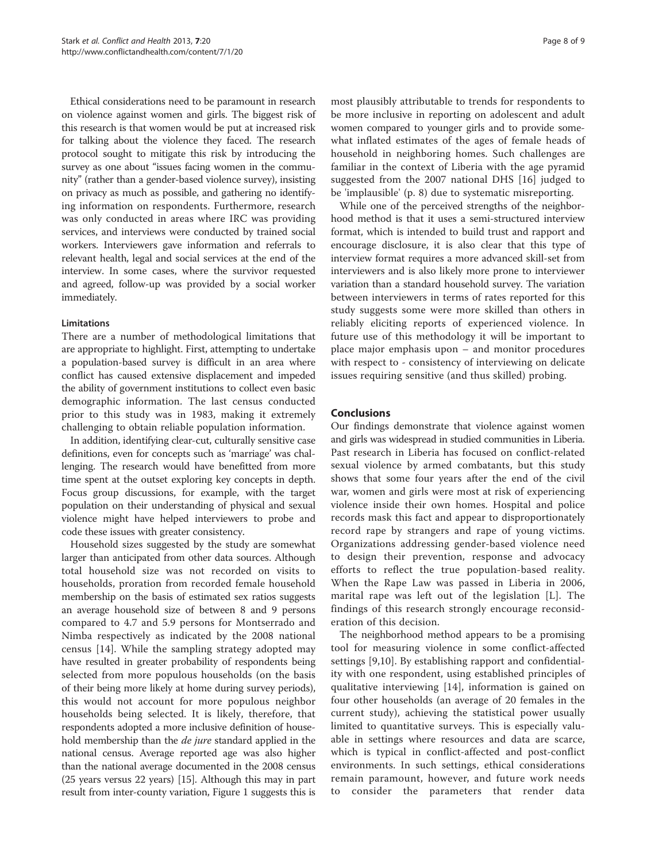Ethical considerations need to be paramount in research on violence against women and girls. The biggest risk of this research is that women would be put at increased risk for talking about the violence they faced. The research protocol sought to mitigate this risk by introducing the survey as one about "issues facing women in the community" (rather than a gender-based violence survey), insisting on privacy as much as possible, and gathering no identifying information on respondents. Furthermore, research was only conducted in areas where IRC was providing services, and interviews were conducted by trained social workers. Interviewers gave information and referrals to relevant health, legal and social services at the end of the interview. In some cases, where the survivor requested and agreed, follow-up was provided by a social worker immediately.

# Limitations

There are a number of methodological limitations that are appropriate to highlight. First, attempting to undertake a population-based survey is difficult in an area where conflict has caused extensive displacement and impeded the ability of government institutions to collect even basic demographic information. The last census conducted prior to this study was in 1983, making it extremely challenging to obtain reliable population information.

In addition, identifying clear-cut, culturally sensitive case definitions, even for concepts such as 'marriage' was challenging. The research would have benefitted from more time spent at the outset exploring key concepts in depth. Focus group discussions, for example, with the target population on their understanding of physical and sexual violence might have helped interviewers to probe and code these issues with greater consistency.

Household sizes suggested by the study are somewhat larger than anticipated from other data sources. Although total household size was not recorded on visits to households, proration from recorded female household membership on the basis of estimated sex ratios suggests an average household size of between 8 and 9 persons compared to 4.7 and 5.9 persons for Montserrado and Nimba respectively as indicated by the 2008 national census [[14\]](#page-8-0). While the sampling strategy adopted may have resulted in greater probability of respondents being selected from more populous households (on the basis of their being more likely at home during survey periods), this would not account for more populous neighbor households being selected. It is likely, therefore, that respondents adopted a more inclusive definition of household membership than the *de jure* standard applied in the national census. Average reported age was also higher than the national average documented in the 2008 census (25 years versus 22 years) [[15](#page-8-0)]. Although this may in part result from inter-county variation, Figure [1](#page-6-0) suggests this is

most plausibly attributable to trends for respondents to be more inclusive in reporting on adolescent and adult women compared to younger girls and to provide somewhat inflated estimates of the ages of female heads of household in neighboring homes. Such challenges are familiar in the context of Liberia with the age pyramid suggested from the 2007 national DHS [[16\]](#page-8-0) judged to be 'implausible' (p. 8) due to systematic misreporting.

While one of the perceived strengths of the neighborhood method is that it uses a semi-structured interview format, which is intended to build trust and rapport and encourage disclosure, it is also clear that this type of interview format requires a more advanced skill-set from interviewers and is also likely more prone to interviewer variation than a standard household survey. The variation between interviewers in terms of rates reported for this study suggests some were more skilled than others in reliably eliciting reports of experienced violence. In future use of this methodology it will be important to place major emphasis upon – and monitor procedures with respect to - consistency of interviewing on delicate issues requiring sensitive (and thus skilled) probing.

#### Conclusions

Our findings demonstrate that violence against women and girls was widespread in studied communities in Liberia. Past research in Liberia has focused on conflict-related sexual violence by armed combatants, but this study shows that some four years after the end of the civil war, women and girls were most at risk of experiencing violence inside their own homes. Hospital and police records mask this fact and appear to disproportionately record rape by strangers and rape of young victims. Organizations addressing gender-based violence need to design their prevention, response and advocacy efforts to reflect the true population-based reality. When the Rape Law was passed in Liberia in 2006, marital rape was left out of the legislation [L]. The findings of this research strongly encourage reconsideration of this decision.

The neighborhood method appears to be a promising tool for measuring violence in some conflict-affected settings [[9,10\]](#page-8-0). By establishing rapport and confidentiality with one respondent, using established principles of qualitative interviewing [[14\]](#page-8-0), information is gained on four other households (an average of 20 females in the current study), achieving the statistical power usually limited to quantitative surveys. This is especially valuable in settings where resources and data are scarce, which is typical in conflict-affected and post-conflict environments. In such settings, ethical considerations remain paramount, however, and future work needs to consider the parameters that render data